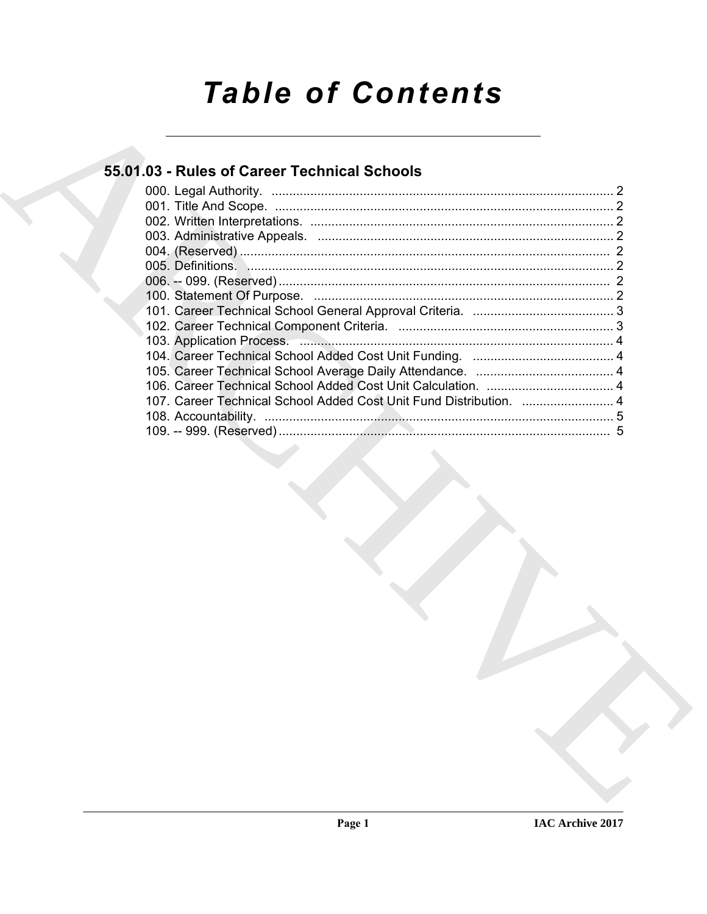# **Table of Contents**

# 55.01.03 - Rules of Career Technical Schools

| 107. Career Technical School Added Cost Unit Fund Distribution.  4 |  |
|--------------------------------------------------------------------|--|
|                                                                    |  |
|                                                                    |  |
|                                                                    |  |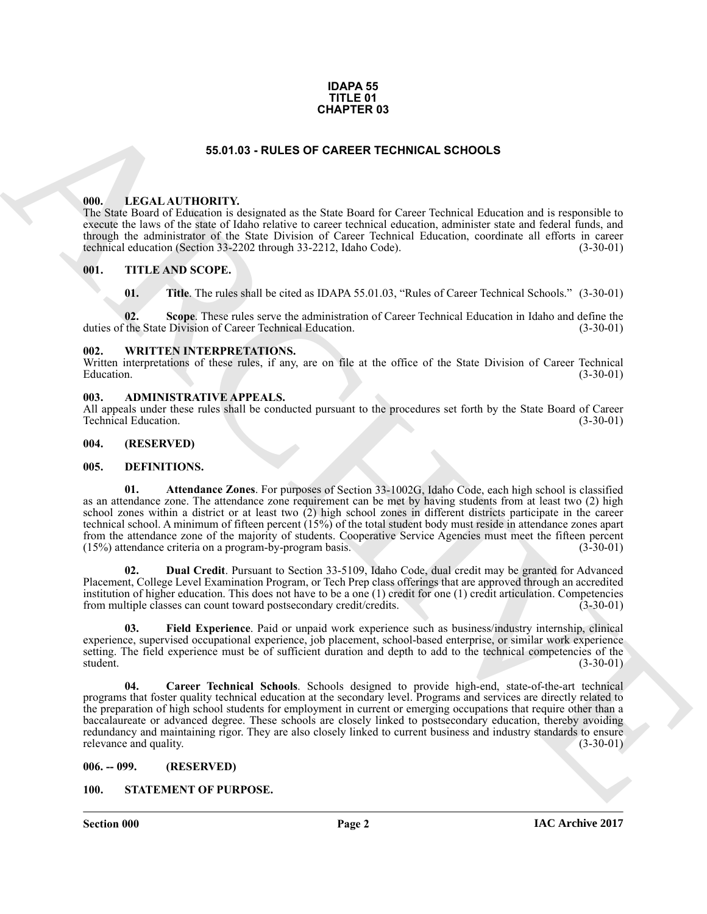#### **IDAPA 55 TITLE 01 CHAPTER 03**

# **55.01.03 - RULES OF CAREER TECHNICAL SCHOOLS**

### <span id="page-1-1"></span><span id="page-1-0"></span>**000. LEGAL AUTHORITY.**

The State Board of Education is designated as the State Board for Career Technical Education and is responsible to execute the laws of the state of Idaho relative to career technical education, administer state and federal funds, and through the administrator of the State Division of Career Technical Education, coordinate all efforts in career technical education (Section 33-2202 through 33-2212, Idaho Code). (3-30-01) technical education (Section 33-2202 through 33-2212, Idaho Code).

### <span id="page-1-2"></span>**001. TITLE AND SCOPE.**

**01.** Title. The rules shall be cited as IDAPA 55.01.03, "Rules of Career Technical Schools." (3-30-01)

**02.** Scope. These rules serve the administration of Career Technical Education in Idaho and define the State Division of Career Technical Education. (3-30-01) duties of the State Division of Career Technical Education.

#### <span id="page-1-3"></span>**002. WRITTEN INTERPRETATIONS.**

Written interpretations of these rules, if any, are on file at the office of the State Division of Career Technical Education. (3-30-01)  $\mu$  Education.  $(3-30-01)$ 

#### <span id="page-1-4"></span>**003. ADMINISTRATIVE APPEALS.**

All appeals under these rules shall be conducted pursuant to the procedures set forth by the State Board of Career<br>(3-30-01) Technical Education.

# <span id="page-1-5"></span>**004. (RESERVED)**

#### <span id="page-1-9"></span><span id="page-1-6"></span>**005. DEFINITIONS.**

<span id="page-1-10"></span>**01. Attendance Zones**. For purposes of Section 33-1002G, Idaho Code, each high school is classified as an attendance zone. The attendance zone requirement can be met by having students from at least two (2) high school zones within a district or at least two (2) high school zones in different districts participate in the career technical school. A minimum of fifteen percent (15%) of the total student body must reside in attendance zones apart from the attendance zone of the majority of students. Cooperative Service Agencies must meet the fifteen percent (15%) attendance criteria on a program-by-program basis. (3-30-01)

<span id="page-1-12"></span>**02. Dual Credit**. Pursuant to Section 33-5109, Idaho Code, dual credit may be granted for Advanced Placement, College Level Examination Program, or Tech Prep class offerings that are approved through an accredited institution of higher education. This does not have to be a one (1) credit for one (1) credit articulation. Competencies from multiple classes can count toward postsecondary credit/credits. (3-30-01)

<span id="page-1-13"></span><span id="page-1-11"></span>**03. Field Experience**. Paid or unpaid work experience such as business/industry internship, clinical experience, supervised occupational experience, job placement, school-based enterprise, or similar work experience setting. The field experience must be of sufficient duration and depth to add to the technical competencies of the student. (3-30-01) student. (3-30-01)

**SEARCH CONTROLLARES CONTROLLARES CONTROLLARES (SEARCH CONTROLLARES CONTROLLARES CONTROLLARES CONTROLLARES CONTROLLARES (SEARCH CONTROLLARES CONTROLLARES CONTROLLARES CONTROLLARES (SEARCH CONTROLLARES CONTROLLARES CONTROL 04. Career Technical Schools**. Schools designed to provide high-end, state-of-the-art technical programs that foster quality technical education at the secondary level. Programs and services are directly related to the preparation of high school students for employment in current or emerging occupations that require other than a baccalaureate or advanced degree. These schools are closely linked to postsecondary education, thereby avoiding redundancy and maintaining rigor. They are also closely linked to current business and industry standards to ensure<br>(3-30-01)<br>(3-30-01) relevance and quality.

<span id="page-1-7"></span>**006. -- 099. (RESERVED)**

### <span id="page-1-8"></span>**100. STATEMENT OF PURPOSE.**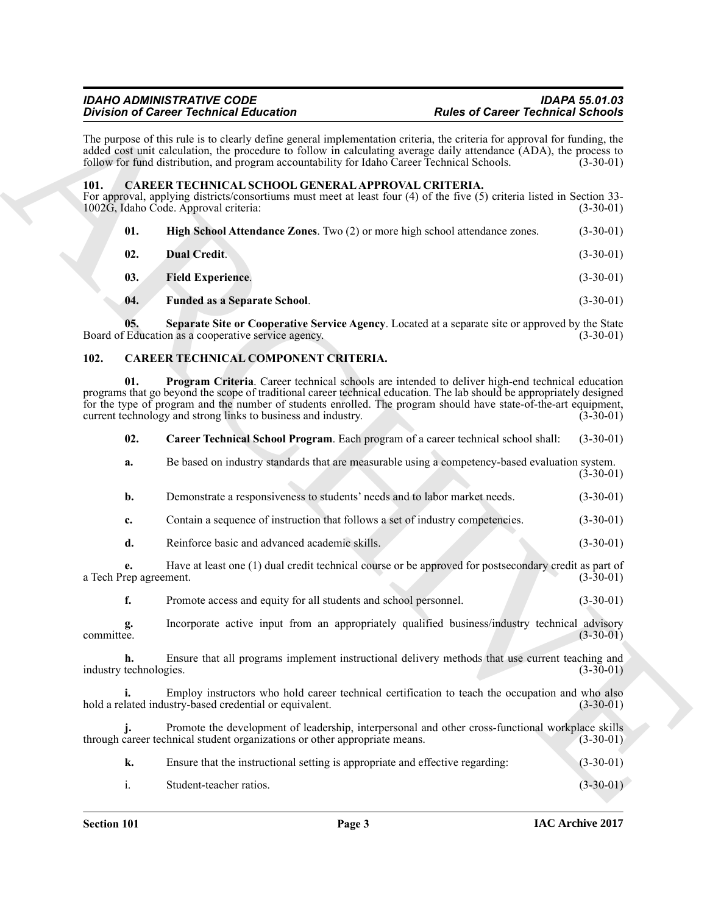## *IDAHO ADMINISTRATIVE CODE IDAPA 55.01.03 Division of Career Technical Education*

# <span id="page-2-5"></span><span id="page-2-0"></span>**101. CAREER TECHNICAL SCHOOL GENERAL APPROVAL CRITERIA.**

<span id="page-2-9"></span><span id="page-2-6"></span>

| 01. | <b>High School Attendance Zones.</b> Two (2) or more high school attendance zones. | $(3-30-01)$ |
|-----|------------------------------------------------------------------------------------|-------------|
| 02. | <b>Dual Credit</b> .                                                               | $(3-30-01)$ |

- <span id="page-2-7"></span>**03. Field Experience**. (3-30-01)
- <span id="page-2-10"></span><span id="page-2-8"></span><span id="page-2-4"></span>**04. Funded as a Separate School**. (3-30-01)

# <span id="page-2-3"></span><span id="page-2-2"></span><span id="page-2-1"></span>**102. CAREER TECHNICAL COMPONENT CRITERIA.**

|                              |                                                                                                       | <b>Division of Career Technical Education</b>                                                                                                                                                                                                                                                                                                                                                                 | <b>Rules of Career Technical Schools</b> |             |
|------------------------------|-------------------------------------------------------------------------------------------------------|---------------------------------------------------------------------------------------------------------------------------------------------------------------------------------------------------------------------------------------------------------------------------------------------------------------------------------------------------------------------------------------------------------------|------------------------------------------|-------------|
|                              |                                                                                                       | The purpose of this rule is to clearly define general implementation criteria, the criteria for approval for funding, the<br>added cost unit calculation, the procedure to follow in calculating average daily attendance (ADA), the process to<br>follow for fund distribution, and program accountability for Idaho Career Technical Schools.                                                               |                                          | $(3-30-01)$ |
| 101.                         |                                                                                                       | CAREER TECHNICAL SCHOOL GENERAL APPROVAL CRITERIA.<br>For approval, applying districts/consortiums must meet at least four (4) of the five (5) criteria listed in Section 33-<br>1002G, Idaho Code. Approval criteria:                                                                                                                                                                                        |                                          | $(3-30-01)$ |
|                              | 01.                                                                                                   | High School Attendance Zones. Two (2) or more high school attendance zones.                                                                                                                                                                                                                                                                                                                                   |                                          | $(3-30-01)$ |
|                              | 02.                                                                                                   | <b>Dual Credit.</b>                                                                                                                                                                                                                                                                                                                                                                                           |                                          | $(3-30-01)$ |
|                              | 03.                                                                                                   | <b>Field Experience.</b>                                                                                                                                                                                                                                                                                                                                                                                      |                                          | $(3-30-01)$ |
|                              | 04.                                                                                                   | <b>Funded as a Separate School.</b>                                                                                                                                                                                                                                                                                                                                                                           |                                          | $(3-30-01)$ |
|                              | 05.                                                                                                   | Separate Site or Cooperative Service Agency. Located at a separate site or approved by the State<br>Board of Education as a cooperative service agency.                                                                                                                                                                                                                                                       |                                          | $(3-30-01)$ |
| 102.                         |                                                                                                       | CAREER TECHNICAL COMPONENT CRITERIA.                                                                                                                                                                                                                                                                                                                                                                          |                                          |             |
|                              | 01.                                                                                                   | Program Criteria. Career technical schools are intended to deliver high-end technical education<br>programs that go beyond the scope of traditional career technical education. The lab should be appropriately designed<br>for the type of program and the number of students enrolled. The program should have state-of-the-art equipment,<br>current technology and strong links to business and industry. |                                          | $(3-30-01)$ |
|                              | 02.                                                                                                   | Career Technical School Program. Each program of a career technical school shall:                                                                                                                                                                                                                                                                                                                             |                                          | $(3-30-01)$ |
|                              | a.                                                                                                    | Be based on industry standards that are measurable using a competency-based evaluation system.                                                                                                                                                                                                                                                                                                                |                                          | $(3-30-01)$ |
|                              | b.                                                                                                    | Demonstrate a responsiveness to students' needs and to labor market needs.                                                                                                                                                                                                                                                                                                                                    |                                          | $(3-30-01)$ |
|                              | c.                                                                                                    | Contain a sequence of instruction that follows a set of industry competencies.                                                                                                                                                                                                                                                                                                                                |                                          | $(3-30-01)$ |
|                              | d.                                                                                                    | Reinforce basic and advanced academic skills.                                                                                                                                                                                                                                                                                                                                                                 |                                          | $(3-30-01)$ |
| e.<br>a Tech Prep agreement. | Have at least one (1) dual credit technical course or be approved for postsecondary credit as part of |                                                                                                                                                                                                                                                                                                                                                                                                               | $(3-30-01)$                              |             |
|                              | f.                                                                                                    | Promote access and equity for all students and school personnel.                                                                                                                                                                                                                                                                                                                                              |                                          | $(3-30-01)$ |
| committee.                   | g.                                                                                                    | Incorporate active input from an appropriately qualified business/industry technical advisory                                                                                                                                                                                                                                                                                                                 |                                          | $(3-30-01)$ |
|                              | h.<br>industry technologies.                                                                          | Ensure that all programs implement instructional delivery methods that use current teaching and                                                                                                                                                                                                                                                                                                               |                                          | $(3-30-01)$ |
|                              |                                                                                                       | Employ instructors who hold career technical certification to teach the occupation and who also<br>hold a related industry-based credential or equivalent.                                                                                                                                                                                                                                                    |                                          | $(3-30-01)$ |
|                              | j.                                                                                                    | Promote the development of leadership, interpersonal and other cross-functional workplace skills<br>through career technical student organizations or other appropriate means.                                                                                                                                                                                                                                |                                          | $(3-30-01)$ |
|                              | k.                                                                                                    | Ensure that the instructional setting is appropriate and effective regarding:                                                                                                                                                                                                                                                                                                                                 |                                          | $(3-30-01)$ |
|                              | $\mathbf{i}$ .                                                                                        | Student-teacher ratios.                                                                                                                                                                                                                                                                                                                                                                                       |                                          | $(3-30-01)$ |

| Ensure that the instructional setting is appropriate and effective regarding: | $(3-30-01)$ |
|-------------------------------------------------------------------------------|-------------|
| Student-teacher ratios.                                                       | $(3-30-01)$ |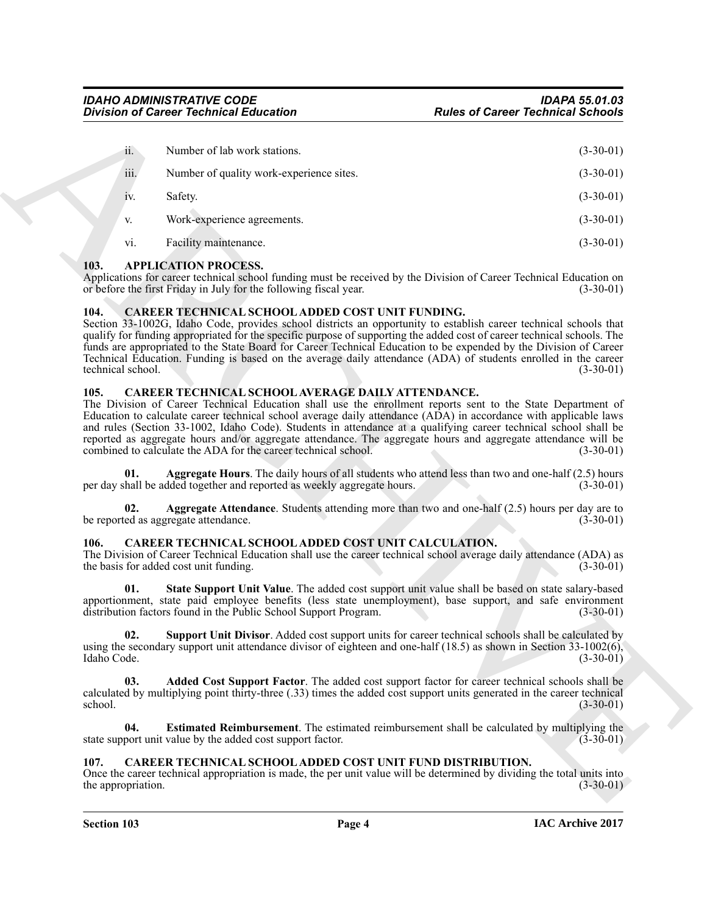|                           | <b>Division of Career Technical Education</b>                                                                                                                     | <b>Rules of Career Technical Schools</b>                                                                                                                                                                                                                                                                                                                                                                                                                                                           |
|---------------------------|-------------------------------------------------------------------------------------------------------------------------------------------------------------------|----------------------------------------------------------------------------------------------------------------------------------------------------------------------------------------------------------------------------------------------------------------------------------------------------------------------------------------------------------------------------------------------------------------------------------------------------------------------------------------------------|
| ii.                       | Number of lab work stations.                                                                                                                                      | $(3-30-01)$                                                                                                                                                                                                                                                                                                                                                                                                                                                                                        |
| iii.                      | Number of quality work-experience sites.                                                                                                                          | $(3-30-01)$                                                                                                                                                                                                                                                                                                                                                                                                                                                                                        |
| 1V.                       | Safety.                                                                                                                                                           | $(3-30-01)$                                                                                                                                                                                                                                                                                                                                                                                                                                                                                        |
| V.                        | Work-experience agreements.                                                                                                                                       | $(3-30-01)$                                                                                                                                                                                                                                                                                                                                                                                                                                                                                        |
| vi.                       | Facility maintenance.                                                                                                                                             | $(3-30-01)$                                                                                                                                                                                                                                                                                                                                                                                                                                                                                        |
| 103.                      | <b>APPLICATION PROCESS.</b><br>or before the first Friday in July for the following fiscal year.                                                                  | Applications for career technical school funding must be received by the Division of Career Technical Education on<br>$(3-30-01)$                                                                                                                                                                                                                                                                                                                                                                  |
| 104.<br>technical school. | CAREER TECHNICAL SCHOOL ADDED COST UNIT FUNDING.                                                                                                                  | Section 33-1002G, Idaho Code, provides school districts an opportunity to establish career technical schools that<br>qualify for funding appropriated for the specific purpose of supporting the added cost of career technical schools. The<br>funds are appropriated to the State Board for Career Technical Education to be expended by the Division of Career<br>Technical Education. Funding is based on the average daily attendance (ADA) of students enrolled in the career<br>$(3-30-01)$ |
| 105.                      | CAREER TECHNICAL SCHOOL AVERAGE DAILY ATTENDANCE.<br>combined to calculate the ADA for the career technical school.                                               | The Division of Career Technical Education shall use the enrollment reports sent to the State Department of<br>Education to calculate career technical school average daily attendance (ADA) in accordance with applicable laws<br>and rules (Section 33-1002, Idaho Code). Students in attendance at a qualifying career technical school shall be<br>reported as aggregate hours and/or aggregate attendance. The aggregate hours and aggregate attendance will be<br>$(3-30-01)$                |
| 01.                       | per day shall be added together and reported as weekly aggregate hours.                                                                                           | Aggregate Hours. The daily hours of all students who attend less than two and one-half (2.5) hours<br>$(3-30-01)$                                                                                                                                                                                                                                                                                                                                                                                  |
| 02.                       | be reported as aggregate attendance.                                                                                                                              | <b>Aggregate Attendance</b> . Students attending more than two and one-half $(2.5)$ hours per day are to<br>$(3-30-01)$                                                                                                                                                                                                                                                                                                                                                                            |
| 106.                      | CAREER TECHNICAL SCHOOL ADDED COST UNIT CALCULATION.<br>the basis for added cost unit funding.                                                                    | The Division of Career Technical Education shall use the career technical school average daily attendance (ADA) as<br>$(3-30-01)$                                                                                                                                                                                                                                                                                                                                                                  |
| 01.                       | distribution factors found in the Public School Support Program.                                                                                                  | State Support Unit Value. The added cost support unit value shall be based on state salary-based<br>apportionment, state paid employee benefits (less state unemployment), base support, and safe environment<br>$(3-30-01)$                                                                                                                                                                                                                                                                       |
| 02.<br>Idaho Code.        |                                                                                                                                                                   | Support Unit Divisor. Added cost support units for career technical schools shall be calculated by<br>using the secondary support unit attendance divisor of eighteen and one-half $(18.5)$ as shown in Section 33-1002(6),<br>$(3-30-01)$                                                                                                                                                                                                                                                         |
| 03.<br>school.            |                                                                                                                                                                   | Added Cost Support Factor. The added cost support factor for career technical schools shall be<br>calculated by multiplying point thirty-three (.33) times the added cost support units generated in the career technical<br>$(3-30-01)$                                                                                                                                                                                                                                                           |
|                           |                                                                                                                                                                   |                                                                                                                                                                                                                                                                                                                                                                                                                                                                                                    |
| 04.                       | <b>Estimated Reimbursement</b> . The estimated reimbursement shall be calculated by multiplying the<br>state support unit value by the added cost support factor. | $(3-30-01)$                                                                                                                                                                                                                                                                                                                                                                                                                                                                                        |

# <span id="page-3-5"></span><span id="page-3-0"></span>**103. APPLICATION PROCESS.**

## <span id="page-3-12"></span><span id="page-3-1"></span>**104. CAREER TECHNICAL SCHOOL ADDED COST UNIT FUNDING.**

# <span id="page-3-15"></span><span id="page-3-13"></span><span id="page-3-2"></span>**105. CAREER TECHNICAL SCHOOL AVERAGE DAILY ATTENDANCE.**

# <span id="page-3-14"></span><span id="page-3-10"></span><span id="page-3-9"></span><span id="page-3-6"></span><span id="page-3-3"></span>**106. CAREER TECHNICAL SCHOOL ADDED COST UNIT CALCULATION.**

# <span id="page-3-11"></span><span id="page-3-8"></span><span id="page-3-7"></span><span id="page-3-4"></span>**107. CAREER TECHNICAL SCHOOL ADDED COST UNIT FUND DISTRIBUTION.**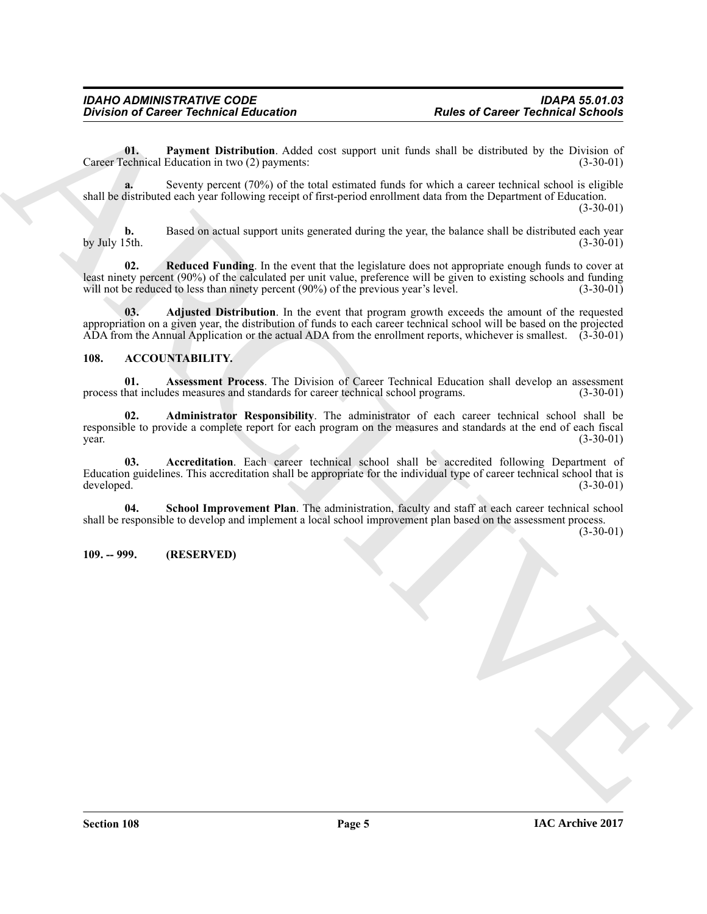<span id="page-4-8"></span>**01. Payment Distribution**. Added cost support unit funds shall be distributed by the Division of echnical Education in two (2) payments: (3-30-01) Career Technical Education in two  $(2)$  payments:

**a.** Seventy percent (70%) of the total estimated funds for which a career technical school is eligible shall be distributed each year following receipt of first-period enrollment data from the Department of Education. (3-30-01)

**b.** Based on actual support units generated during the year, the balance shall be distributed each year by July 15th. (3-30-01) by July 15th. (3-30-01)

<span id="page-4-9"></span>**02. Reduced Funding**. In the event that the legislature does not appropriate enough funds to cover at least ninety percent (90%) of the calculated per unit value, preference will be given to existing schools and funding will not be reduced to less than ninety percent (90%) of the previous vear's level. (3-30-01) will not be reduced to less than ninety percent  $(90\%)$  of the previous year's level.

<span id="page-4-7"></span>**03. Adjusted Distribution**. In the event that program growth exceeds the amount of the requested appropriation on a given year, the distribution of funds to each career technical school will be based on the projected ADA from the Annual Application or the actual ADA from the enrollment reports, whichever is smallest. (3-30-01)

# <span id="page-4-2"></span><span id="page-4-0"></span>**108. ACCOUNTABILITY.**

<span id="page-4-5"></span>**01.** Assessment Process. The Division of Career Technical Education shall develop an assessment hat includes measures and standards for career technical school programs. (3-30-01) process that includes measures and standards for career technical school programs.

<span id="page-4-4"></span><span id="page-4-3"></span>**02. Administrator Responsibility**. The administrator of each career technical school shall be responsible to provide a complete report for each program on the measures and standards at the end of each fiscal  $\frac{1}{3}$  year. (3-30-01)

Buristin's Primes of Career Technical Education<br>
Transmitter in the Chiral state of Career Technical Schools<br>
Control distribution Added vot separate and has been been determined as<br>
Source Technical Career Technical Scho **03. Accreditation**. Each career technical school shall be accredited following Department of Education guidelines. This accreditation shall be appropriate for the individual type of career technical school that is developed.  $(3-30-01)$ developed. (3-30-01)

<span id="page-4-6"></span>**04. School Improvement Plan**. The administration, faculty and staff at each career technical school shall be responsible to develop and implement a local school improvement plan based on the assessment process.

(3-30-01)

# <span id="page-4-1"></span>**109. -- 999. (RESERVED)**